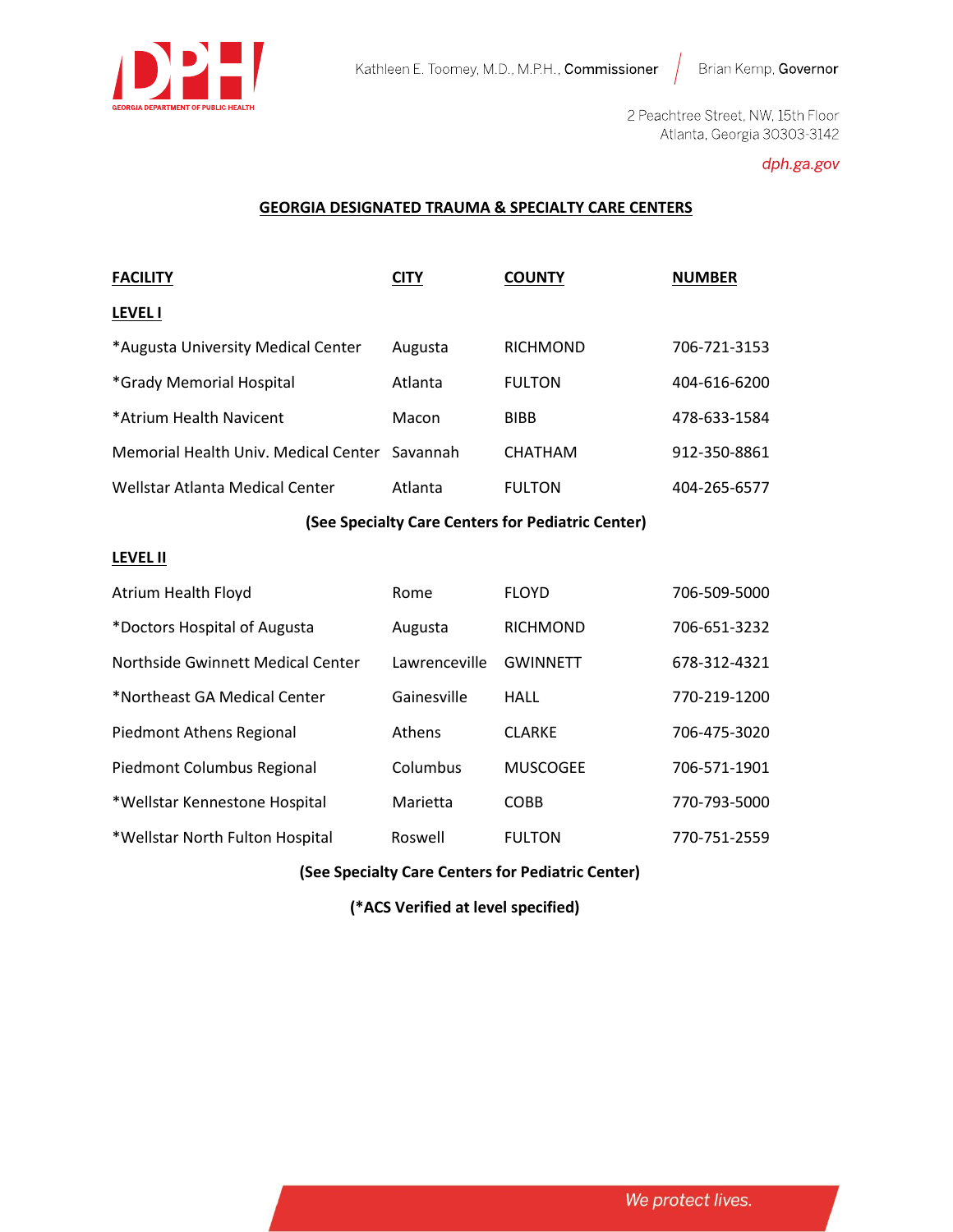

2 Peachtree Street, NW, 15th Floor Atlanta, Georgia 30303-3142

## dph.ga.gov

### **GEORGIA DESIGNATED TRAUMA & SPECIALTY CARE CENTERS**

| <b>FACILITY</b>                               | CITY    | <b>COUNTY</b>   | <b>NUMBER</b> |
|-----------------------------------------------|---------|-----------------|---------------|
| <b>LEVEL I</b>                                |         |                 |               |
| *Augusta University Medical Center            | Augusta | <b>RICHMOND</b> | 706-721-3153  |
| *Grady Memorial Hospital                      | Atlanta | <b>FULTON</b>   | 404-616-6200  |
| *Atrium Health Navicent                       | Macon   | <b>BIBB</b>     | 478-633-1584  |
| Memorial Health Univ. Medical Center Savannah |         | <b>CHATHAM</b>  | 912-350-8861  |
| Wellstar Atlanta Medical Center               | Atlanta | <b>FULTON</b>   | 404-265-6577  |
|                                               |         |                 |               |

## **(See Specialty Care Centers for Pediatric Center)**

#### **LEVEL II**

| Atrium Health Floyd               | Rome          | <b>FLOYD</b>    | 706-509-5000 |
|-----------------------------------|---------------|-----------------|--------------|
| *Doctors Hospital of Augusta      | Augusta       | <b>RICHMOND</b> | 706-651-3232 |
| Northside Gwinnett Medical Center | Lawrenceville | <b>GWINNETT</b> | 678-312-4321 |
| *Northeast GA Medical Center      | Gainesville   | HALL            | 770-219-1200 |
| Piedmont Athens Regional          | <b>Athens</b> | <b>CLARKE</b>   | 706-475-3020 |
| Piedmont Columbus Regional        | Columbus      | <b>MUSCOGEE</b> | 706-571-1901 |
| *Wellstar Kennestone Hospital     | Marietta      | <b>COBB</b>     | 770-793-5000 |
| *Wellstar North Fulton Hospital   | Roswell       | <b>FULTON</b>   | 770-751-2559 |

## **(See Specialty Care Centers for Pediatric Center)**

 **(\*ACS Verified at level specified)**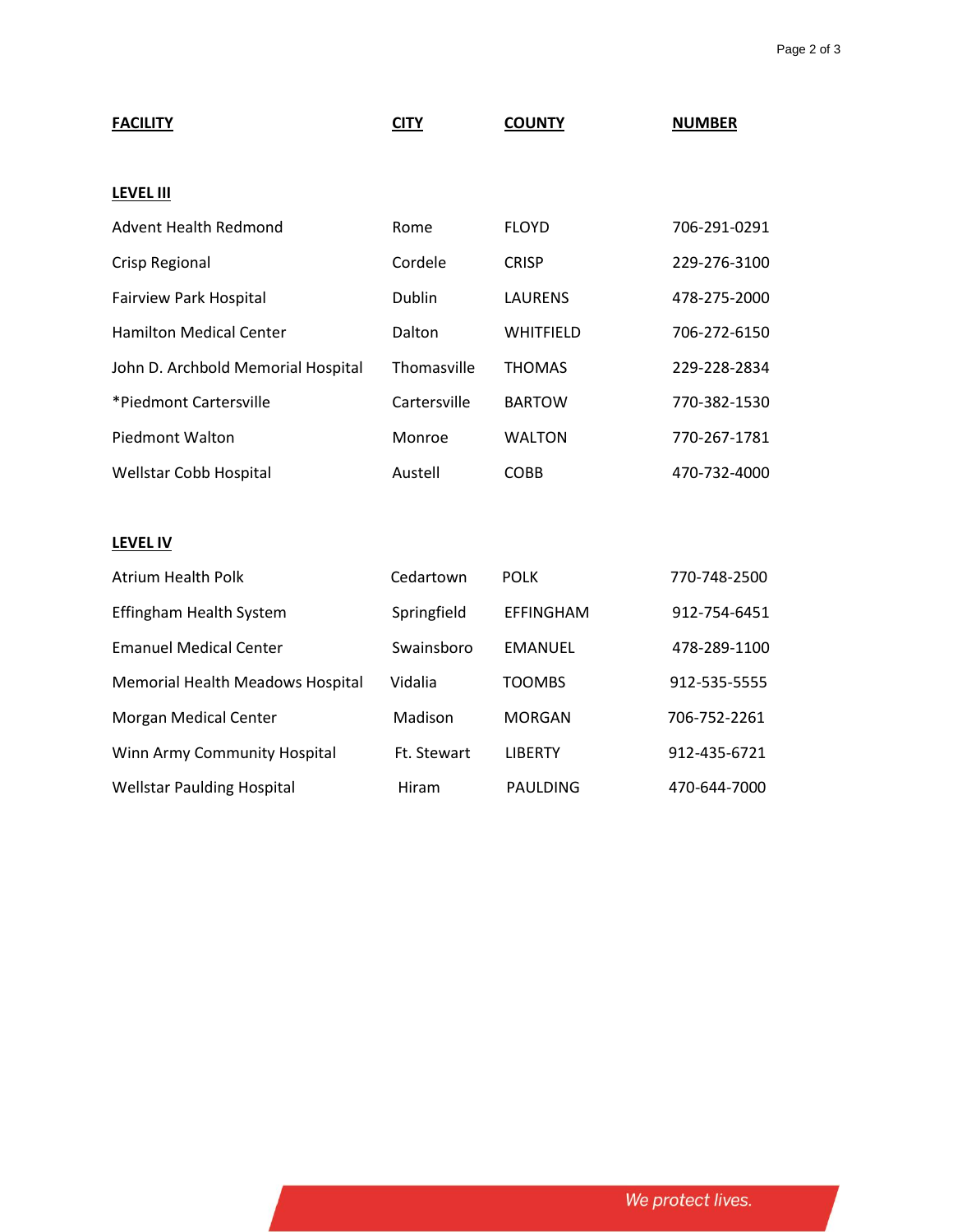| <b>FACILITY</b>                    | <b>CITY</b>  | <b>COUNTY</b>    | <b>NUMBER</b> |
|------------------------------------|--------------|------------------|---------------|
| <b>LEVEL III</b>                   |              |                  |               |
|                                    |              |                  |               |
| <b>Advent Health Redmond</b>       | Rome         | <b>FLOYD</b>     | 706-291-0291  |
| Crisp Regional                     | Cordele      | <b>CRISP</b>     | 229-276-3100  |
| <b>Fairview Park Hospital</b>      | Dublin       | <b>LAURENS</b>   | 478-275-2000  |
| <b>Hamilton Medical Center</b>     | Dalton       | WHITFIELD        | 706-272-6150  |
| John D. Archbold Memorial Hospital | Thomasville  | <b>THOMAS</b>    | 229-228-2834  |
| *Piedmont Cartersville             | Cartersville | <b>BARTOW</b>    | 770-382-1530  |
| <b>Piedmont Walton</b>             | Monroe       | <b>WALTON</b>    | 770-267-1781  |
| Wellstar Cobb Hospital             | Austell      | <b>COBB</b>      | 470-732-4000  |
|                                    |              |                  |               |
| <b>LEVEL IV</b>                    |              |                  |               |
| <b>Atrium Health Polk</b>          | Cedartown    | <b>POLK</b>      | 770-748-2500  |
| Effingham Health System            | Springfield  | <b>EFFINGHAM</b> | 912-754-6451  |
| <b>Emanuel Medical Center</b>      | Swainsboro   | <b>EMANUEL</b>   | 478-289-1100  |
| Memorial Health Meadows Hospital   | Vidalia      | <b>TOOMBS</b>    | 912-535-5555  |
| <b>Morgan Medical Center</b>       | Madison      | <b>MORGAN</b>    | 706-752-2261  |
| Winn Army Community Hospital       | Ft. Stewart  | <b>LIBERTY</b>   | 912-435-6721  |
| <b>Wellstar Paulding Hospital</b>  | Hiram        | <b>PAULDING</b>  | 470-644-7000  |